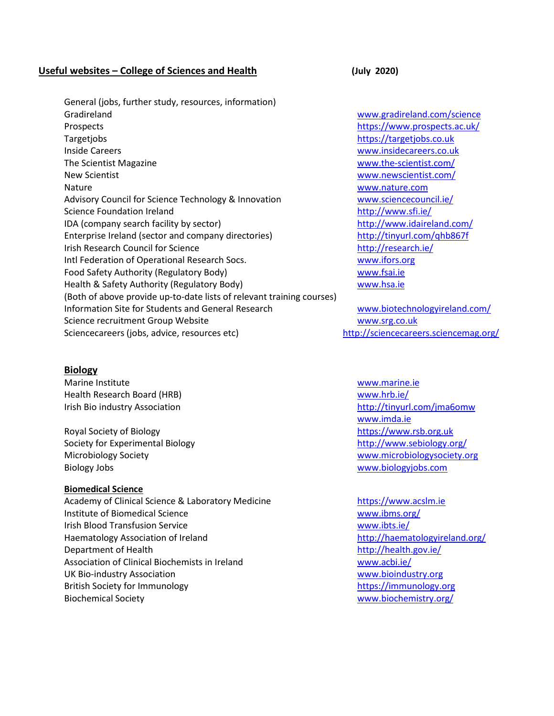## **Useful websites – College of Sciences and Health (July 2020)**

General (jobs, further study, resources, information) Gradireland [www.gradireland.com/science](http://www.gradireland.com/science) Prospects <https://www.prospects.ac.uk/> Targetjobs [https://targetjobs.co.uk](https://targetjobs.co.uk/) Inside Careers [www.insidecareers.co.uk](http://www.insidecareers.co.uk/) The Scientist Magazine [www.the-scientist.com/](http://www.the-scientist.com/) New Scientist [www.newscientist.com/](http://www.newscientist.com/) Nature [www.nature.com](http://www.nature.com/) Advisory Council for Science Technology & Innovation [www.sciencecouncil.ie/](http://www.sciencecouncil.ie/) Science Foundation Ireland <http://www.sfi.ie/> IDA (company search facility by sector) <http://www.idaireland.com/> Enterprise Ireland (sector and company directories) <http://tinyurl.com/qhb867f> Irish Research Council for Science <http://research.ie/> Intl Federation of Operational Research Socs. [www.ifors.org](http://www.ifors.org/) Food Safety Authority (Regulatory Body) [www.fsai.ie](http://www.fsai.ie/) Health & Safety Authority (Regulatory Body) [www.hsa.ie](http://www.hsa.ie/) (Both of above provide up-to-date lists of relevant training courses) Information Site for Students and General Research [www.biotechnologyireland.com/](http://www.biotechnologyireland.com/) Science recruitment Group Website [www.srg.co.uk](http://www.srg.co.uk/) Sciencecareers (jobs, advice, resources etc) <http://sciencecareers.sciencemag.org/>

### **Biology**

Marine Institute [www.marine.ie](http://www.marine.ie/) Health Research Board (HRB) [www.hrb.ie/](http://www.hrb.ie/) 

Royal Society of Biology [https://www.rsb.org.uk](https://www.rsb.org.uk/) Society for Experimental Biology <http://www.sebiology.org/> Microbiology Society [www.microbiologysociety.org](http://www.microbiologysociety.org/) Biology Jobs [www.biologyjobs.com](http://www.biologyjobs.com/)

### **Biomedical Science**

Academy of Clinical Science & Laboratory Medicine [https://www.acslm.ie](https://www.acslm.ie/) Institute of Biomedical Science [www.ibms.org/](http://www.ibms.org/) Irish Blood Transfusion Service [www.ibts.ie/](http://www.ibts.ie/) Haematology Association of Ireland <http://haematologyireland.org/> Department of Health <http://health.gov.ie/> Association of Clinical Biochemists in Ireland [www.acbi.ie/](http://www.acbi.ie/) UK Bio-industry Association [www.bioindustry.org](http://www.bioindustry.org/) British Society for Immunology [https://immunology.org](https://immunology.org/) Biochemical Society [www.biochemistry.org/](http://www.biochemistry.org/)

Irish Bio industry Association **http://tinyurl.com/jma6omw** http://tinyurl.com/jma6omw [www.imda.ie](http://www.imda.ie/)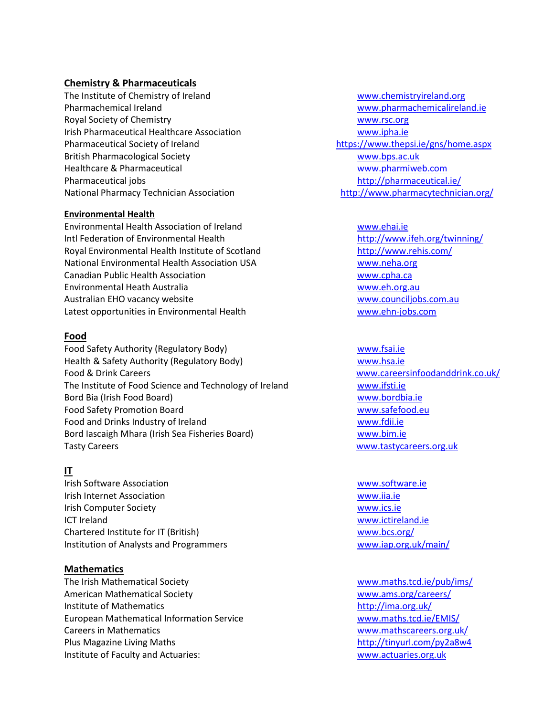# **Chemistry & Pharmaceuticals**

The Institute of Chemistry of Ireland [www.chemistryireland.org](http://www.chemistryireland.org/) Pharmachemical Ireland [www.pharmachemicalireland.ie](http://www.pharmachemicalireland.ie/) Royal Society of Chemistry [www.rsc.org](http://www.rsc.org/) Irish Pharmaceutical Healthcare Association [www.ipha.ie](http://www.ipha.ie/) Pharmaceutical Society of Ireland <https://www.thepsi.ie/gns/home.aspx> British Pharmacological Society [www.bps.ac.uk](http://www.bps.ac.uk/) Healthcare & Pharmaceutical [www.pharmiweb.com](http://www.pharmiweb.com/) Pharmaceutical jobs <http://pharmaceutical.ie/> National Pharmacy Technician Association <http://www.pharmacytechnician.org/>

### **Environmental Health**

Environmental Health Association of Ireland [www.ehai.ie](http://www.ehai.ie/) Intl Federation of Environmental Health <http://www.ifeh.org/twinning/> Royal Environmental Health Institute of Scotland <http://www.rehis.com/> National Environmental Health Association USA [www.neha.org](http://www.neha.org/) Canadian Public Health Association [www.cpha.ca](http://www.cpha.ca/) Environmental Heath Australia [www.eh.org.au](http://www.eh.org.au/) Australian EHO vacancy website [www.counciljobs.com.au](http://www.counciljobs.com.au/) Latest opportunities in Environmental Health [www.ehn-jobs.com](http://www.ehn-jobs.com/)

### **Food**

Food Safety Authority (Regulatory Body) [www.fsai.ie](http://www.fsai.ie/) Health & Safety Authority (Regulatory Body) [www.hsa.ie](http://www.hsa.ie/) Food & Drink Careers [www.careersinfoodanddrink.co.uk/](http://www.careersinfoodanddrink.co.uk/) The Institute of Food Science and Technology of Ireland [www.ifsti.ie](http://www.ifsti.ie/) Bord Bia (Irish Food Board) [www.bordbia.ie](http://www.bordbia.ie/) Food Safety Promotion Board [www.safefood.eu](http://www.safefood.eu/) Food and Drinks Industry of Ireland [www.fdii.ie](http://www.fdii.ie/) Bord Iascaigh Mhara (Irish Sea Fisheries Board) [www.bim.ie](http://www.bim.ie/) Tasty Careers **WALLACE CONTENTS OF A SET OF A SET OF A SET OF A SET OF A SET OF A SET OF A SET OF A SET OF A SET OF A SET OF A SET OF A SET OF A SET OF A SET OF A SET OF A SET OF A SET OF A SET OF A SET OF A SET OF A SET O** 

# **IT**

Irish Software Association [www.software.ie](http://www.software.ie/) Irish Internet Association [www.iia.ie](http://www.iia.ie/) Irish Computer Society [www.ics.ie](http://www.ics.ie/) ICT Ireland [www.ictireland.ie](http://www.ictireland.ie/) Chartered Institute for IT (British) [www.bcs.org/](http://www.bcs.org/) Institution of Analysts and Programmers and the Communication of Analysts and Programmers and Theorem [www.iap.org.uk/main/](http://www.iap.org.uk/main/)

### **Mathematics**

The Irish Mathematical Society [www.maths.tcd.ie/pub/ims/](http://www.maths.tcd.ie/pub/ims/) American Mathematical Society [www.ams.org/careers/](http://www.ams.org/careers/) Institute of Mathematics <http://ima.org.uk/> European Mathematical Information Service [www.maths.tcd.ie/EMIS/](http://www.maths.tcd.ie/EMIS/) Careers in Mathematics [www.mathscareers.org.uk/](http://www.mathscareers.org.uk/) Plus Magazine Living Maths <http://tinyurl.com/py2a8w4> Institute of Faculty and Actuaries: [www.actuaries.org.uk](http://www.actuaries.org.uk/)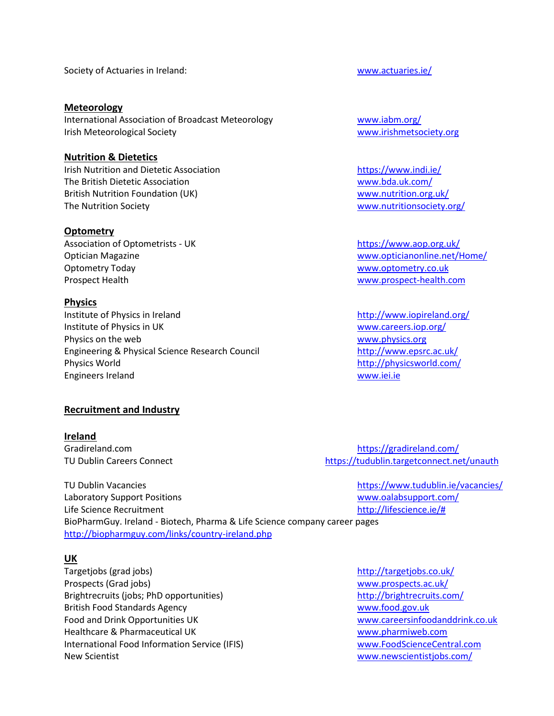Society of Actuaries in Ireland: [www.actuaries.ie/](http://www.actuaries.ie/)

**Meteorology** International Association of Broadcast Meteorology [www.iabm.org/](http://www.iabm.org/) Irish Meteorological Society Washington and Triangulary [www.irishmetsociety.org](http://www.irishmetsociety.org/)

# **Nutrition & Dietetics**

Irish Nutrition and Dietetic Association <https://www.indi.ie/> The British Dietetic Association [www.bda.uk.com/](http://www.bda.uk.com/) British Nutrition Foundation (UK) [www.nutrition.org.uk/](http://www.nutrition.org.uk/) The Nutrition Society **WALLOCAL CONTROLLER WALLOCAL CONTROLLER WALLOCAL CONTROLLER WALLOCAL CONTROLLER WALLOCAL** 

### **Optometry**

Association of Optometrists - UK <https://www.aop.org.uk/> Optometry Today and the control of the control of the control of the [www.optometry.co.uk](http://www.optometry.co.uk/) Prospect Health [www.prospect-health.com](http://www.prospect-health.com/)

### **Physics**

Institute of Physics in Ireland <http://www.iopireland.org/> Institute of Physics in UK and the Contract of Physics in UK and the Contract of Physics in UK Physics on the web was a series of the web [www.physics.org](http://www.physics.org/) www.physics.org Engineering & Physical Science Research Council <http://www.epsrc.ac.uk/> Physics World <http://physicsworld.com/> Engineers Ireland [www.iei.ie](http://www.iei.ie/)

### **Recruitment and Industry**

### **Ireland**

Optician Magazine [www.opticianonline.net/Home/](http://www.opticianonline.net/Home/)

Gradireland.com **<https://gradireland.com/>** TU Dublin Careers Connect **<https://tudublin.targetconnect.net/unauth>** 

TU Dublin Vacancies <https://www.tudublin.ie/vacancies/> Laboratory Support Positions [www.oalabsupport.com/](http://www.oalabsupport.com/) Life Science Recruitment [http://lifescience.ie/#](http://lifescience.ie/) BioPharmGuy. Ireland - Biotech, Pharma & Life Science company career pages <http://biopharmguy.com/links/country-ireland.php>

### **UK**

Targetjobs (grad jobs) <http://targetjobs.co.uk/> Prospects (Grad jobs) [www.prospects.ac.uk/](http://www.prospects.ac.uk/) Brightrecruits (jobs; PhD opportunities) <http://brightrecruits.com/> British Food Standards Agency [www.food.gov.uk](http://www.food.gov.uk/)  Food and Drink Opportunities UK [www.careersinfoodanddrink.co.uk](http://www.careersinfoodanddrink.co.uk/) Healthcare & Pharmaceutical UK [www.pharmiweb.com](http://www.pharmiweb.com/)  International Food Information Service (IFIS) [www.FoodScienceCentral.com](http://www.foodsciencecentral.com/) New Scientist [www.newscientistjobs.com/](http://www.newscientistjobs.com/)